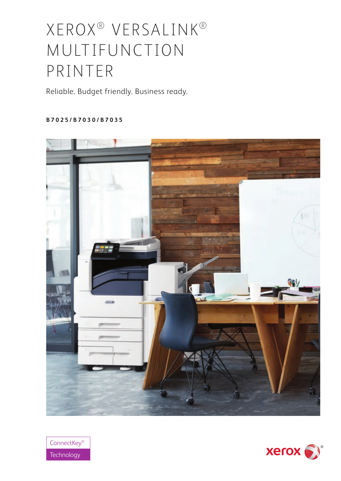# XEROX® VERSALINK® MULTIFUNCTION PRINTER

Reliable. Budget friendly. Business ready.

**B 7 0 2 5 / B 7 0 3 0 / B 7 0 3 5** 





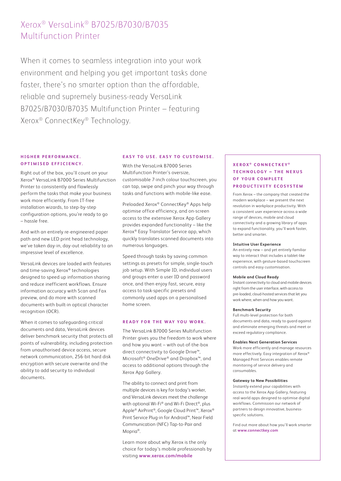# Xerox® VersaLink® B7025/B7030/B7035 Multifunction Printer

When it comes to seamless integration into your work environment and helping you get important tasks done faster, there's no smarter option than the affordable, reliable and supremely business-ready VersaLink B7025/B7030/B7035 Multifunction Printer – featuring Xerox® ConnectKey® Technology.

# **HIGHED PEPEOPMANCE OPTIMISED EFFICIENCY.**

Right out of the box, you'll count on your Xerox® VersaLink B7000 Series Multifunction Printer to consistently and flawlessly perform the tasks that make your business work more efficiently. From IT-free installation wizards, to step-by-step configuration options, you're ready to go – hassle free.

And with an entirely re-engineered paper path and new LED print head technology, we've taken day-in, day-out reliability to an impressive level of excellence.

VersaLink devices are loaded with features and time-saving Xerox® technologies designed to speed up information sharing and reduce inefficient workflows. Ensure information accuracy with Scan and Fax preview, and do more with scanned documents with built-in optical character recognition (OCR).

When it comes to safeguarding critical documents and data, VersaLink devices deliver benchmark security that protects all points of vulnerability, including protection from unauthorised device access, secure network communication, 256-bit hard disk encryption with secure overwrite and the ability to add security to individual documents.

# **EASY TO USE. EASY TO CUSTOMISE.**

With the Versal ink B7000 Series Multifunction Printer's oversize, customisable 7-inch colour touchscreen, you can tap, swipe and pinch your way through tasks and functions with mobile-like ease.

Preloaded Xerox® ConnectKey® Apps help optimise office efficiency, and on-screen access to the extensive Xerox App Gallery provides expanded functionality – like the Xerox® Easy Translator Service app, which quickly translates scanned documents into numerous languages.

Speed through tasks by saving common settings as presets for simple, single-touch job setup. With Simple ID, individual users and groups enter a user ID and password once, and then enjoy fast, secure, easy access to task-specific presets and commonly used apps on a personalised home screen.

#### **READY FOR THE WAY YOU WORK.**

The VersaLink B7000 Series Multifunction Printer gives you the freedom to work where and how you want – with out-of-the-box direct connectivity to Google Drive™, Microsoft® OneDrive® and Dropbox™, and access to additional options through the Xerox App Gallery.

The ability to connect and print from multiple devices is key for today's worker, and VersaLink devices meet the challenge with optional Wi-Fi® and Wi-Fi Direct®, plus Apple® AirPrint®, Google Cloud Print™, Xerox® Print Service Plug-in for Android™, Near Field Communication (NFC) Tap-to-Pair and Mopria®.

Learn more about why Xerox is the only choice for today's mobile professionals by visiting **www.xerox.com/mobile**

# **XEROX ® CONNECTKEY ® T E C H N O L O G Y – T H E N E X U S O F YO U R C O M P L E T E PRODUCTIVITY ECOSYSTEM**

From Xerox – the company that created the modern workplace – we present the next revolution in workplace productivity. With a consistent user experience across a wide range of devices, mobile and cloud connectivity and a growing library of apps to expand functionality, you'll work faster, better and smarter.

#### **Intuitive User Experience**

An entirely new – and yet entirely familiar way to interact that includes a tablet-like experience, with gesture-based touchscreen controls and easy customisation.

#### **Mobile and Cloud Ready**

Instant connectivity to cloud and mobile devices right from the user interface, with access to pre-loaded, cloud-hosted services that let you work where, when and how you want.

#### **Benchmark Security**

Full multi-level protection for both documents and data, ready to guard against and eliminate emerging threats and meet or exceed regulatory compliance.

#### **Enables Next Generation Services**

Work more efficiently and manage resources more effectively. Easy integration of Xerox® Managed Print Services enables remote monitoring of service delivery and consumables.

#### **Gateway to New Possibilities**

Instantly extend your capabilities with access to the Xerox App Gallery, featuring real-world apps designed to optimise digital workflows. Commission our network of partners to design innovative, businessspecific solutions.

Find out more about how you'll work smarter at **www.connectkey.com**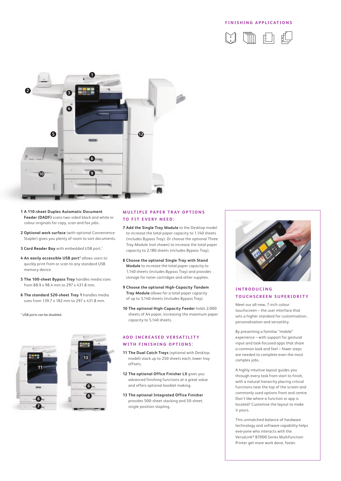## **FINISHING APPLICATIONS**





- **1 A 110-sheet Duplex Automatic Document Feeder (DADF)** scans two-sided black and white or colour originals for copy, scan and fax jobs.
- **2 Optional work surface** (with optional Convenience Stapler) gives you plenty of room to sort documents.
- **3 Card Reader Bay** with embedded USB port.1
- 4 An easily accessible USB port<sup>1</sup> allows users to quickly print from or scan to any standard USB memory device.
- **5 The 100-sheet Bypass Tray** handles media sizes from 88.9 x 98.4 mm to 297 x 431.8 mm.
- **6 The standard 520-sheet Tray 1** handles media sizes from 139.7 x 182 mm to 297 x 431.8 mm.

1 USB ports can be disabled.



# **MULTIPLE PAPER TRAY OPTIONS TO FIT EVERY NEED:**

- **7 Add the Single Tray Module** to the Desktop model to increase the total paper capacity to 1,140 sheets (includes Bypass Tray). Or choose the optional Three Tray Module (not shown) to increase the total paper capacity to 2,180 sheets (includes Bypass Tray).
- **8 Choose the optional Single Tray with Stand Module** to increase the total paper capacity to 1,140 sheets (includes Bypass Tray) and provides storage for toner cartridges and other supplies.
- **9 Choose the optional High-Capacity Tandem Tray Module** allows for a total paper capacity of up to 3,140 sheets (includes Bypass Tray).
- **10 The optional High-Capacity Feeder** holds 2,000 sheets of A4 paper, increasing the maximum paper capacity to 5,140 sheets.

# **ADD INCREASED VERSATILITY WITH FINISHING OPTIONS:**

- **11 The Dual Catch Trays** (optional with Desktop model) stack up to 250 sheets each, lower tray offsets.
- **12 The optional Office Finisher LX** gives you advanced finishing functions at a great value and offers optional booklet making.
- **13 The optional Integrated Office Finisher** provides 500-sheet stacking and 50-sheet, single-position stapling.



# **I N T R O D U C I N G TOUCHSCREEN SUPERIORITY**

Meet our all-new, 7-inch colour touchscreen – the user interface that sets a higher standard for customisation, personalisation and versatility.

By presenting a familiar "mobile" experience – with support for gestural input and task-focused apps that share a common look and feel – fewer steps are needed to complete even the most complex jobs.

A highly intuitive layout guides you through every task from start to finish, with a natural hierarchy placing critical functions near the top of the screen and commonly used options front and centre. Don't like where a function or app is located? Customise the layout to make it yours.

This unmatched balance of hardware technology and software capability helps everyone who interacts with the VersaLink® B7000 Series Multifunction Printer get more work done, faster.